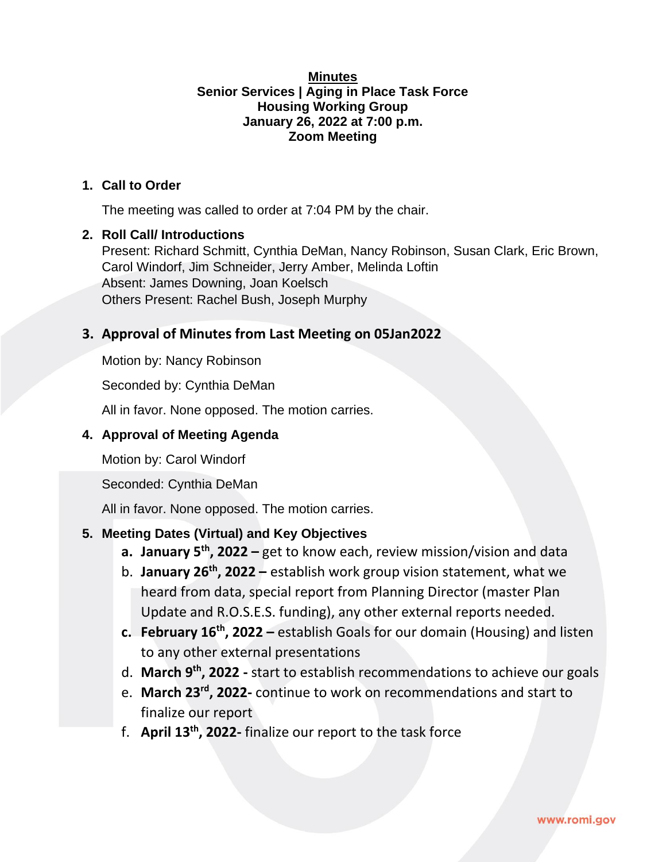#### **Minutes Senior Services | Aging in Place Task Force Housing Working Group January 26, 2022 at 7:00 p.m. Zoom Meeting**

#### **1. Call to Order**

The meeting was called to order at 7:04 PM by the chair.

#### **2. Roll Call/ Introductions**

Present: Richard Schmitt, Cynthia DeMan, Nancy Robinson, Susan Clark, Eric Brown, Carol Windorf, Jim Schneider, Jerry Amber, Melinda Loftin Absent: James Downing, Joan Koelsch Others Present: Rachel Bush, Joseph Murphy

## **3. Approval of Minutes from Last Meeting on 05Jan2022**

Motion by: Nancy Robinson

Seconded by: Cynthia DeMan

All in favor. None opposed. The motion carries.

#### **4. Approval of Meeting Agenda**

Motion by: Carol Windorf

Seconded: Cynthia DeMan

All in favor. None opposed. The motion carries.

#### **5. Meeting Dates (Virtual) and Key Objectives**

- **a. January 5th, 2022 –** get to know each, review mission/vision and data
- b. **January 26th, 2022 –** establish work group vision statement, what we heard from data, special report from Planning Director (master Plan Update and R.O.S.E.S. funding), any other external reports needed.
- **c. February 16th, 2022 –** establish Goals for our domain (Housing) and listen to any other external presentations
- d. **March 9th, 2022 -** start to establish recommendations to achieve our goals
- e. **March 23rd, 2022-** continue to work on recommendations and start to finalize our report
- f. **April 13th, 2022-** finalize our report to the task force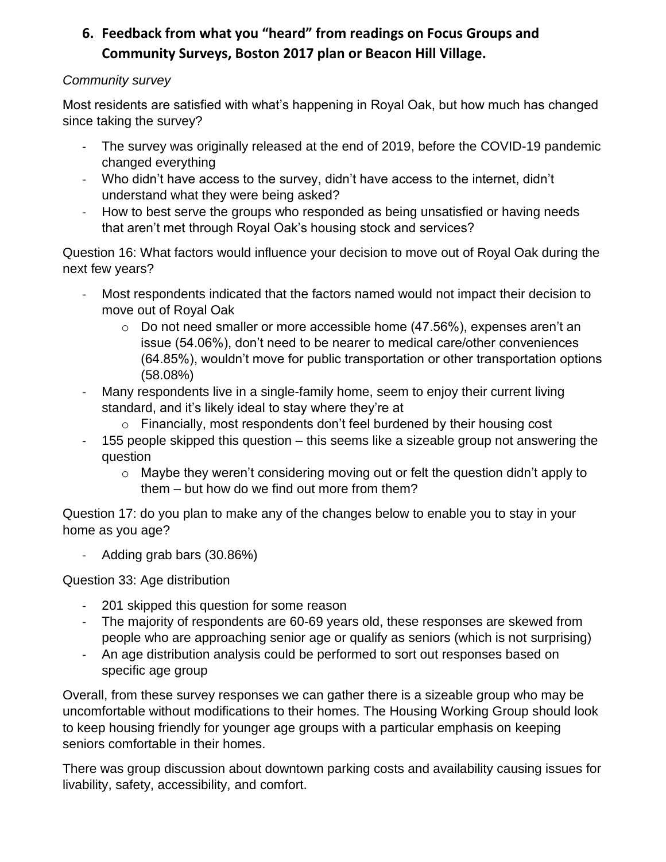# **6. Feedback from what you "heard" from readings on Focus Groups and Community Surveys, Boston 2017 plan or Beacon Hill Village.**

## *Community survey*

Most residents are satisfied with what's happening in Royal Oak, but how much has changed since taking the survey?

- The survey was originally released at the end of 2019, before the COVID-19 pandemic changed everything
- Who didn't have access to the survey, didn't have access to the internet, didn't understand what they were being asked?
- How to best serve the groups who responded as being unsatisfied or having needs that aren't met through Royal Oak's housing stock and services?

Question 16: What factors would influence your decision to move out of Royal Oak during the next few years?

- Most respondents indicated that the factors named would not impact their decision to move out of Royal Oak
	- $\circ$  Do not need smaller or more accessible home (47.56%), expenses aren't an issue (54.06%), don't need to be nearer to medical care/other conveniences (64.85%), wouldn't move for public transportation or other transportation options (58.08%)
- Many respondents live in a single-family home, seem to enjoy their current living standard, and it's likely ideal to stay where they're at
	- $\circ$  Financially, most respondents don't feel burdened by their housing cost
- 155 people skipped this question this seems like a sizeable group not answering the question
	- o Maybe they weren't considering moving out or felt the question didn't apply to them – but how do we find out more from them?

Question 17: do you plan to make any of the changes below to enable you to stay in your home as you age?

- Adding grab bars (30.86%)

Question 33: Age distribution

- 201 skipped this question for some reason
- The majority of respondents are 60-69 years old, these responses are skewed from people who are approaching senior age or qualify as seniors (which is not surprising)
- An age distribution analysis could be performed to sort out responses based on specific age group

Overall, from these survey responses we can gather there is a sizeable group who may be uncomfortable without modifications to their homes. The Housing Working Group should look to keep housing friendly for younger age groups with a particular emphasis on keeping seniors comfortable in their homes.

There was group discussion about downtown parking costs and availability causing issues for livability, safety, accessibility, and comfort.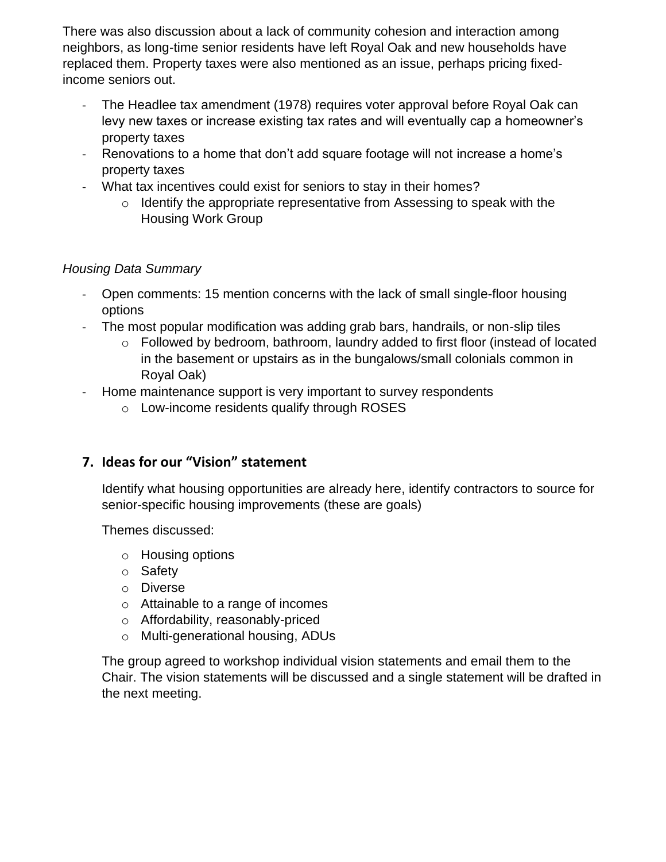There was also discussion about a lack of community cohesion and interaction among neighbors, as long-time senior residents have left Royal Oak and new households have replaced them. Property taxes were also mentioned as an issue, perhaps pricing fixedincome seniors out.

- The Headlee tax amendment (1978) requires voter approval before Royal Oak can levy new taxes or increase existing tax rates and will eventually cap a homeowner's property taxes
- Renovations to a home that don't add square footage will not increase a home's property taxes
- What tax incentives could exist for seniors to stay in their homes?
	- $\circ$  Identify the appropriate representative from Assessing to speak with the Housing Work Group

## *Housing Data Summary*

- Open comments: 15 mention concerns with the lack of small single-floor housing options
- The most popular modification was adding grab bars, handrails, or non-slip tiles
	- o Followed by bedroom, bathroom, laundry added to first floor (instead of located in the basement or upstairs as in the bungalows/small colonials common in Royal Oak)
- Home maintenance support is very important to survey respondents
	- o Low-income residents qualify through ROSES

## **7. Ideas for our "Vision" statement**

Identify what housing opportunities are already here, identify contractors to source for senior-specific housing improvements (these are goals)

Themes discussed:

- o Housing options
- o Safety
- o Diverse
- o Attainable to a range of incomes
- o Affordability, reasonably-priced
- o Multi-generational housing, ADUs

The group agreed to workshop individual vision statements and email them to the Chair. The vision statements will be discussed and a single statement will be drafted in the next meeting.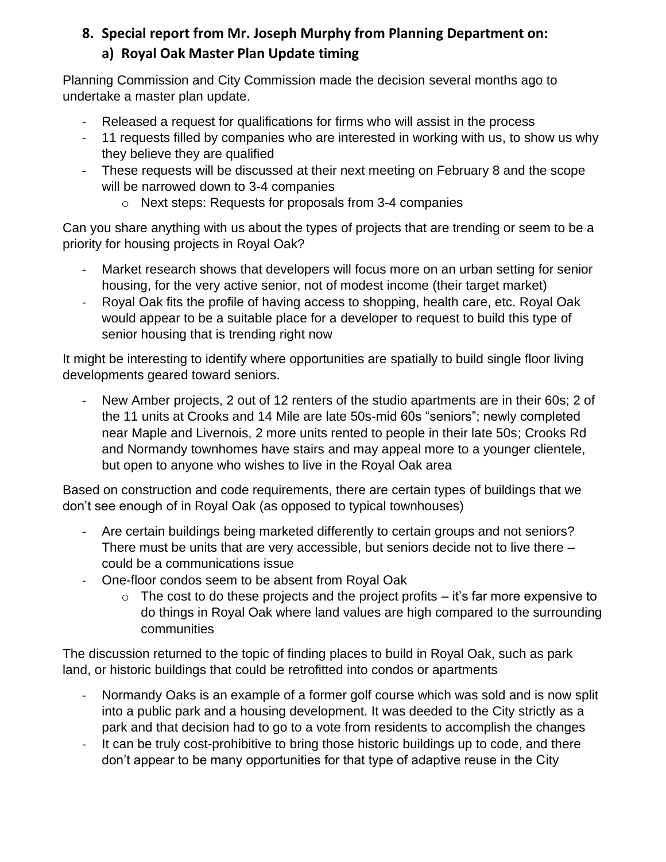# **8. Special report from Mr. Joseph Murphy from Planning Department on: a) Royal Oak Master Plan Update timing**

Planning Commission and City Commission made the decision several months ago to undertake a master plan update.

- Released a request for qualifications for firms who will assist in the process
- 11 requests filled by companies who are interested in working with us, to show us why they believe they are qualified
- These requests will be discussed at their next meeting on February 8 and the scope will be narrowed down to 3-4 companies
	- o Next steps: Requests for proposals from 3-4 companies

Can you share anything with us about the types of projects that are trending or seem to be a priority for housing projects in Royal Oak?

- Market research shows that developers will focus more on an urban setting for senior housing, for the very active senior, not of modest income (their target market)
- Royal Oak fits the profile of having access to shopping, health care, etc. Royal Oak would appear to be a suitable place for a developer to request to build this type of senior housing that is trending right now

It might be interesting to identify where opportunities are spatially to build single floor living developments geared toward seniors.

New Amber projects, 2 out of 12 renters of the studio apartments are in their 60s; 2 of the 11 units at Crooks and 14 Mile are late 50s-mid 60s "seniors"; newly completed near Maple and Livernois, 2 more units rented to people in their late 50s; Crooks Rd and Normandy townhomes have stairs and may appeal more to a younger clientele, but open to anyone who wishes to live in the Royal Oak area

Based on construction and code requirements, there are certain types of buildings that we don't see enough of in Royal Oak (as opposed to typical townhouses)

- Are certain buildings being marketed differently to certain groups and not seniors? There must be units that are very accessible, but seniors decide not to live there – could be a communications issue
- One-floor condos seem to be absent from Royal Oak
	- $\circ$  The cost to do these projects and the project profits it's far more expensive to do things in Royal Oak where land values are high compared to the surrounding communities

The discussion returned to the topic of finding places to build in Royal Oak, such as park land, or historic buildings that could be retrofitted into condos or apartments

- Normandy Oaks is an example of a former golf course which was sold and is now split into a public park and a housing development. It was deeded to the City strictly as a park and that decision had to go to a vote from residents to accomplish the changes
- It can be truly cost-prohibitive to bring those historic buildings up to code, and there don't appear to be many opportunities for that type of adaptive reuse in the City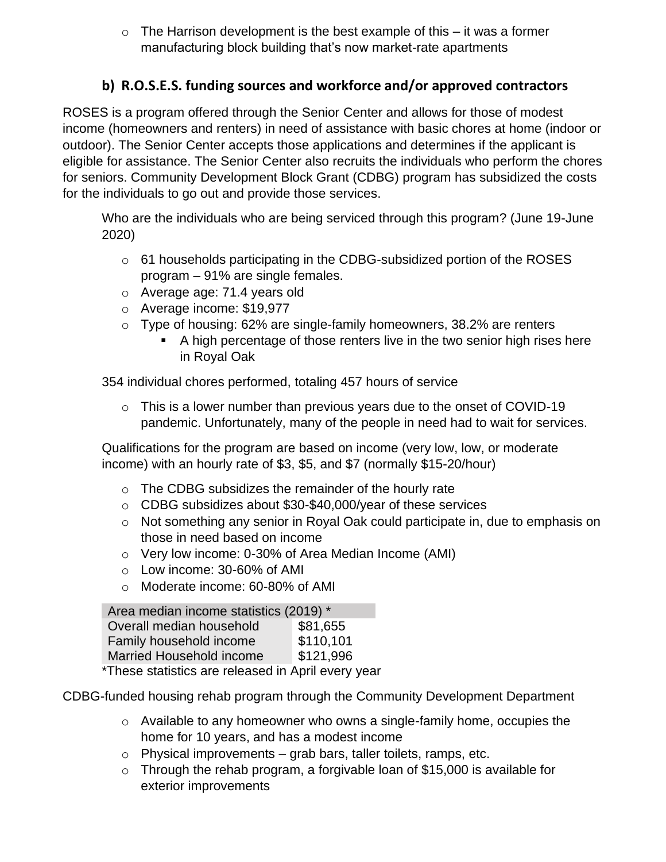$\circ$  The Harrison development is the best example of this – it was a former manufacturing block building that's now market-rate apartments

# **b) R.O.S.E.S. funding sources and workforce and/or approved contractors**

ROSES is a program offered through the Senior Center and allows for those of modest income (homeowners and renters) in need of assistance with basic chores at home (indoor or outdoor). The Senior Center accepts those applications and determines if the applicant is eligible for assistance. The Senior Center also recruits the individuals who perform the chores for seniors. Community Development Block Grant (CDBG) program has subsidized the costs for the individuals to go out and provide those services.

Who are the individuals who are being serviced through this program? (June 19-June 2020)

- o 61 households participating in the CDBG-subsidized portion of the ROSES program – 91% are single females.
- o Average age: 71.4 years old
- o Average income: \$19,977
- $\circ$  Type of housing: 62% are single-family homeowners, 38.2% are renters
	- A high percentage of those renters live in the two senior high rises here in Royal Oak

354 individual chores performed, totaling 457 hours of service

 $\circ$  This is a lower number than previous years due to the onset of COVID-19 pandemic. Unfortunately, many of the people in need had to wait for services.

Qualifications for the program are based on income (very low, low, or moderate income) with an hourly rate of \$3, \$5, and \$7 (normally \$15-20/hour)

- $\circ$  The CDBG subsidizes the remainder of the hourly rate
- o CDBG subsidizes about \$30-\$40,000/year of these services
- o Not something any senior in Royal Oak could participate in, due to emphasis on those in need based on income
- o Very low income: 0-30% of Area Median Income (AMI)
- o Low income: 30-60% of AMI
- o Moderate income: 60-80% of AMI

| Area median income statistics (2019) *             |           |
|----------------------------------------------------|-----------|
| Overall median household                           | \$81,655  |
| Family household income                            | \$110,101 |
| <b>Married Household income</b>                    | \$121,996 |
| These statistics are released in April event year. |           |

These statistics are released in April every year

CDBG-funded housing rehab program through the Community Development Department

- o Available to any homeowner who owns a single-family home, occupies the home for 10 years, and has a modest income
- $\circ$  Physical improvements grab bars, taller toilets, ramps, etc.
- $\circ$  Through the rehab program, a forgivable loan of \$15,000 is available for exterior improvements